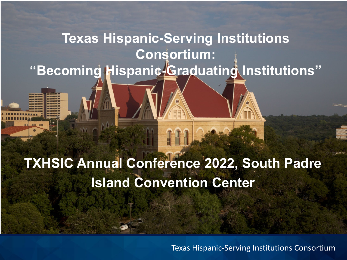#### **Texas Hispanic-Serving Institutions Consortium: "Becoming Hispanic-Graduating Institutions"**

#### **TXHSIC Annual Conference 2022, South Padre Island Convention Center**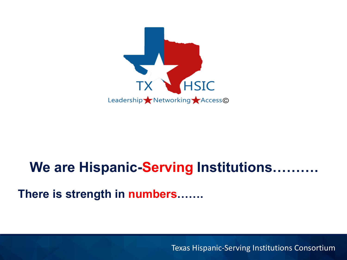

#### **We are Hispanic-Serving Institutions……….**

**There is strength in numbers…….**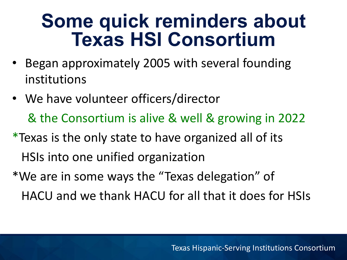#### **Some quick reminders about Texas HSI Consortium**

- Began approximately 2005 with several founding institutions
- We have volunteer officers/director & the Consortium is alive & well & growing in 2022
- \*Texas is the only state to have organized all of its HSIs into one unified organization
- \*We are in some ways the "Texas delegation" of HACU and we thank HACU for all that it does for HSIs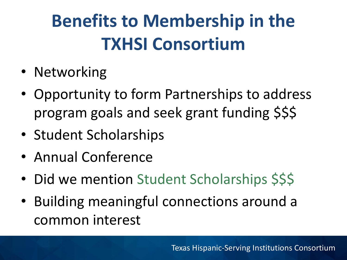# **Benefits to Membership in the TXHSI Consortium**

- Networking
- Opportunity to form Partnerships to address program goals and seek grant funding \$\$\$
- Student Scholarships
- Annual Conference
- Did we mention Student Scholarships \$\$\$
- Building meaningful connections around a common interest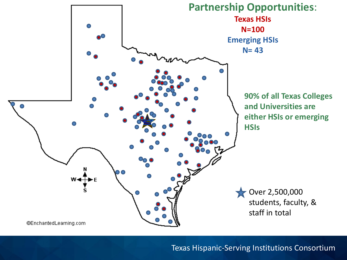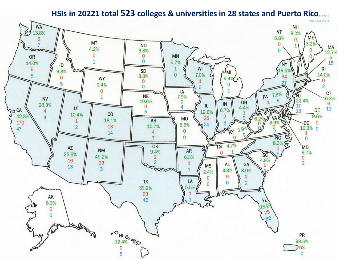#### **HSIs in 20221 total 523 colleges & universities in 28 states and Puerto Rico**

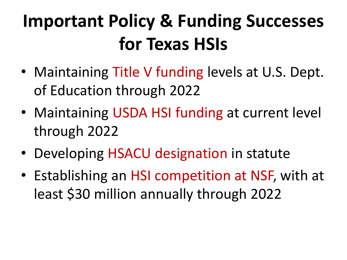## **Important Policy & Funding Successes for Texas HSIs**

- Maintaining Title V funding levels at U.S. Dept. of Education through 2022
- Maintaining USDA HSI funding at current level through 2022
- Developing HSACU designation in statute
- Establishing an HSI competition at NSF, with at least \$30 million annually through 2022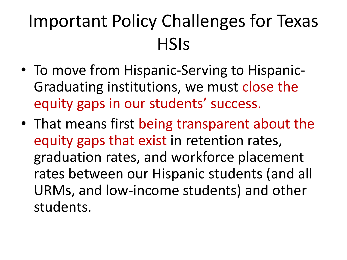### Important Policy Challenges for Texas **HSIs**

- To move from Hispanic-Serving to Hispanic-Graduating institutions, we must close the equity gaps in our students' success.
- That means first being transparent about the equity gaps that exist in retention rates, graduation rates, and workforce placement rates between our Hispanic students (and all URMs, and low-income students) and other students.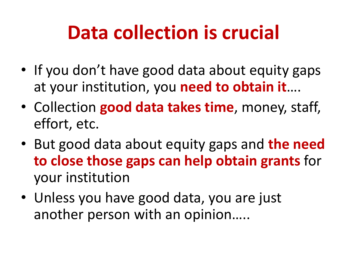# **Data collection is crucial**

- If you don't have good data about equity gaps at your institution, you **need to obtain it**….
- Collection **good data takes time**, money, staff, effort, etc.
- But good data about equity gaps and **the need to close those gaps can help obtain grants** for your institution
- Unless you have good data, you are just another person with an opinion…..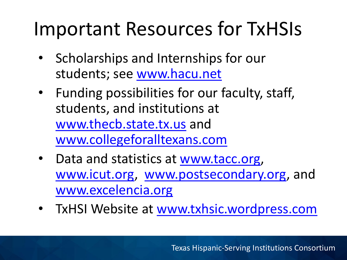## Important Resources for TxHSIs

- Scholarships and Internships for our students; see [www.hacu.net](http://www.hacu.net)
- Funding possibilities for our faculty, staff, students, and institutions at [www.thecb.state.tx.us](http://www.thecb.state.tx.us/) and [www.collegeforalltexans.com](http://www.collegeforalltexans.com/)
- Data and statistics at [www.tacc.org,](http://www.tacc.org) [www.icut.org,](http://www.icut.org) [www.postsecondary.org](http://www.postsecondary.org), and [www.excelencia.org](http://www.excelencia.org/)
- TxHSI Website at [www.txhsic.wordpress.com](http://www.txhsic.wordpress.com/)